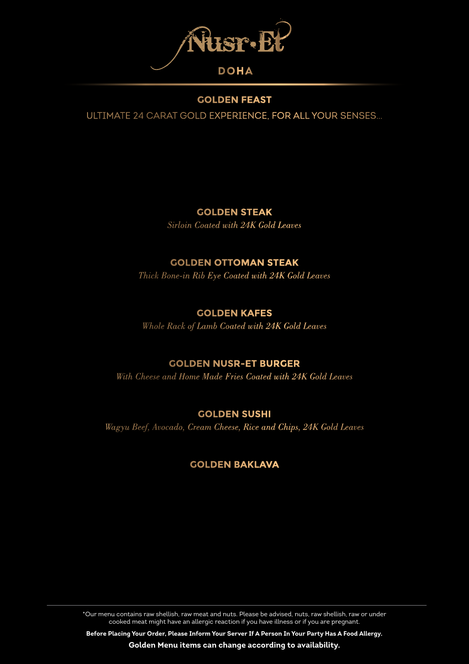

#### **GOLDEN FEAST**

ULTIMATE 24 CARAT GOLD EXPERIENCE, FOR ALL YOUR SENSES…

## **GOLDEN STEAK**

*Sirloin Coated with 24K Gold Leaves*

### **GOLDEN OTTOMAN STEAK**

*Thick Bone-in Rib Eye Coated with 24K Gold Leaves* 

## **GOLDEN KAFES**

*Whole Rack of Lamb Coated with 24K Gold Leaves* 

### **GOLDEN NUSR-ET BURGER**

*With Cheese and Home Made Fries Coated with 24K Gold Leaves*

# **GOLDEN SUSHI**

*Wagyu Beef, Avocado, Cream Cheese, Rice and Chips, 24K Gold Leaves*

# **GOLDEN BAKLAVA**

\*Our menu contains raw shellish, raw meat and nuts. Please be advised, nuts, raw shellish, raw or under cooked meat might have an allergic reaction if you have illness or if you are pregnant.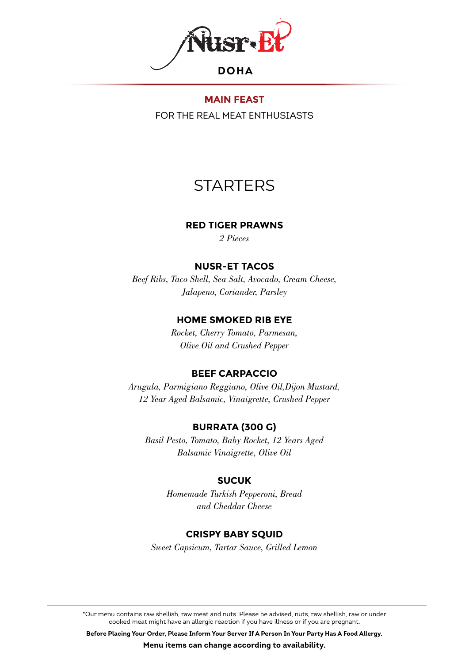

FOR THE REAL MEAT ENTHUSIASTS

# **STARTERS**

#### **RED TIGER PRAWNS**

*2 Pieces*

#### **NUSR-ET TACOS**

*Beef Ribs, Taco Shell, Sea Salt, Avocado, Cream Cheese, Jalapeno, Coriander, Parsley* 

#### **HOME SMOKED RIB EYE**

*Rocket, Cherry Tomato, Parmesan, Olive Oil and Crushed Pepper*

### **BEEF CARPACCIO**

*Arugula, Parmigiano Reggiano, Olive Oil,Dijon Mustard, 12 Year Aged Balsamic, Vinaigrette, Crushed Pepper*

### **BURRATA (300 G)**

*Basil Pesto, Tomato, Baby Rocket, 12 Years Aged Balsamic Vinaigrette, Olive Oil*

#### **SUCUK**

*Homemade Turkish Pepperoni, Bread and Cheddar Cheese* 

#### **CRISPY BABY SQUID**

*Sweet Capsicum, Tartar Sauce, Grilled Lemon* 

\*Our menu contains raw shellish, raw meat and nuts. Please be advised, nuts, raw shellish, raw or under cooked meat might have an allergic reaction if you have illness or if you are pregnant.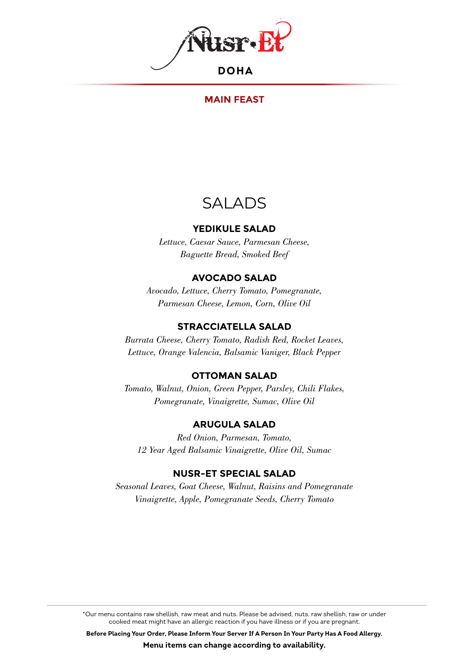

#### **MAIN FEAST**

# SALADS

#### **YEDIKULE SALAD**

*Lettuce, Caesar Sauce, Parmesan Cheese, Baguette Bread, Smoked Beef*

#### **AVOCADO SALAD**

*Avocado, Lettuce, Cherry Tomato, Pomegranate, Parmesan Cheese, Lemon, Corn, Olive Oil*

#### **STRACCIATELLA SALAD**

*Burrata Cheese, Cherry Tomato, Radish Red, Rocket Leaves, Lettuce, Orange Valencia, Balsamic Vaniger, Black Pepper*

#### **OTTOMAN SALAD**

*Tomato, Walnut, Onion, Green Pepper, Parsley, Chili Flakes, Pomegranate, Vinaigrette, Sumac, Olive Oil* 

#### **ARUGULA SALAD**

*Red Onion, Parmesan, Tomato, 12 Year Aged Balsamic Vinaigrette, Olive Oil, Sumac*

#### **NUSR-ET SPECIAL SALAD**

*Seasonal Leaves, Goat Cheese, Walnut, Raisins and Pomegranate Vinaigrette, Apple, Pomegranate Seeds, Cherry Tomato*

\*Our menu contains raw shellish, raw meat and nuts. Please be advised, nuts, raw shellish, raw or under cooked meat might have an allergic reaction if you have illness or if you are pregnant.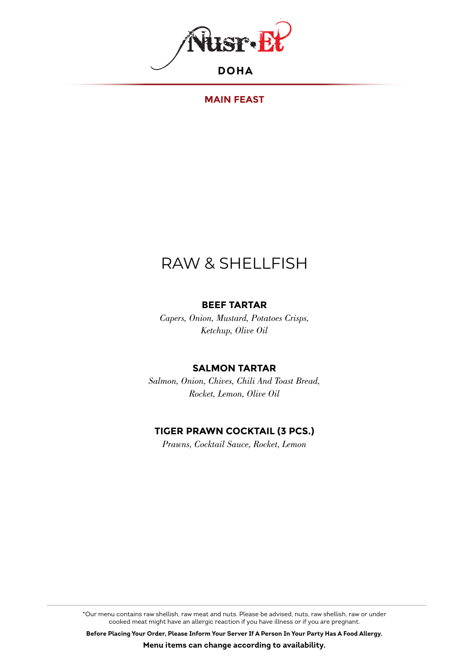

#### **MAIN FEAST**

# RAW & SHELLFISH

#### **BEEF TARTAR**

*Capers, Onion, Mustard, Potatoes Crisps, Ketchup, Olive Oil* 

#### **SALMON TARTAR**

*Salmon, Onion, Chives, Chili And Toast Bread, Rocket, Lemon, Olive Oil* 

#### **TIGER PRAWN COCKTAIL (3 PCS.)**

*Prawns, Cocktail Sauce, Rocket, Lemon*

\*Our menu contains raw shellish, raw meat and nuts. Please be advised, nuts, raw shellish, raw or under cooked meat might have an allergic reaction if you have illness or if you are pregnant.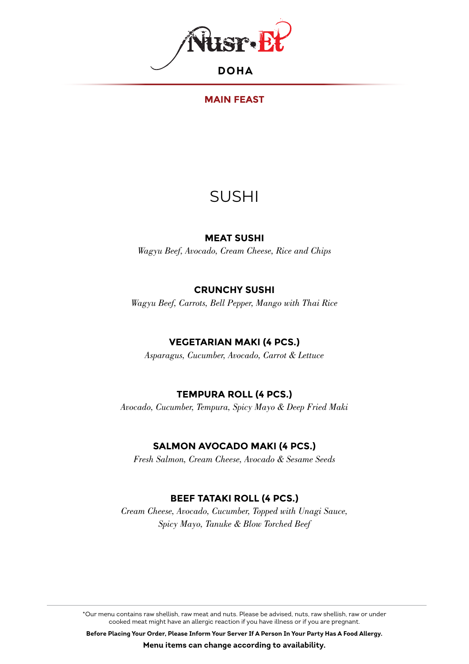

### **MAIN FEAST**

# SUSHI

#### **MEAT SUSHI**

*Wagyu Beef, Avocado, Cream Cheese, Rice and Chips* 

### **CRUNCHY SUSHI**

*Wagyu Beef, Carrots, Bell Pepper, Mango with Thai Rice*

# **VEGETARIAN MAKI (4 PCS.)**

*Asparagus, Cucumber, Avocado, Carrot & Lettuce*

# **TEMPURA ROLL (4 PCS.)**

*Avocado, Cucumber, Tempura, Spicy Mayo & Deep Fried Maki*

# **SALMON AVOCADO MAKI (4 PCS.)**

*Fresh Salmon, Cream Cheese, Avocado & Sesame Seeds*

# **BEEF TATAKI ROLL (4 PCS.)**

*Cream Cheese, Avocado, Cucumber, Topped with Unagi Sauce, Spicy Mayo, Tanuke & Blow Torched Beef*

\*Our menu contains raw shellish, raw meat and nuts. Please be advised, nuts, raw shellish, raw or under cooked meat might have an allergic reaction if you have illness or if you are pregnant.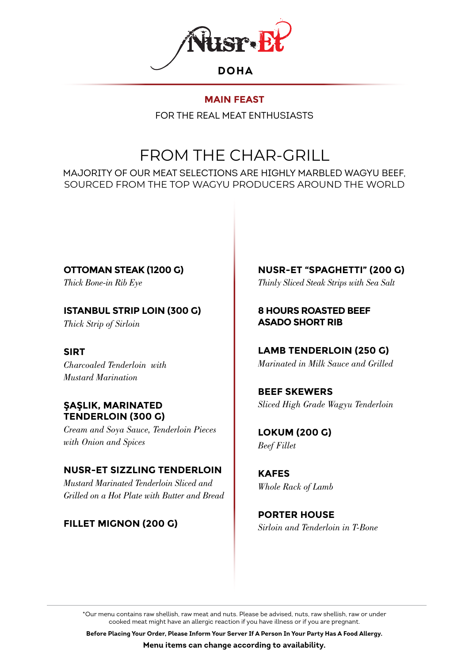

FOR THE REAL MEAT ENTHUSIASTS

# FROM THE CHAR-GRILL

MAJORITY OF OUR MEAT SELECTIONS ARE HIGHLY MARBLED WAGYU BEEF, SOURCED FROM THE TOP WAGYU PRODUCERS AROUND THE WORLD

**OTTOMAN STEAK (1200 G)** *Thick Bone-in Rib Eye*

**ISTANBUL STRIP LOIN (300 G)**

*Thick Strip of Sirloin*

### **SIRT**

*Charcoaled Tenderloin with Mustard Marination* 

#### **ŞAŞLIK, MARINATED TENDERLOIN (300 G)**

*Cream and Soya Sauce, Tenderloin Pieces with Onion and Spices*

# **NUSR-ET SIZZLING TENDERLOIN**

*Mustard Marinated Tenderloin Sliced and Grilled on a Hot Plate with Butter and Bread*

# **FILLET MIGNON (200 G)**

**NUSR-ET "SPAGHETTI" (200 G)** *Thinly Sliced Steak Strips with Sea Salt*

## **8 HOURS ROASTED BEEF ASADO SHORT RIB**

# **LAMB TENDERLOIN (250 G)**

*Marinated in Milk Sauce and Grilled*

#### **BEEF SKEWERS** *Sliced High Grade Wagyu Tenderloin*

**LOKUM (200 G)** *Beef Fillet*

**KAFES** *Whole Rack of Lamb*

**PORTER HOUSE** *Sirloin and Tenderloin in T-Bone*

\*Our menu contains raw shellish, raw meat and nuts. Please be advised, nuts, raw shellish, raw or under cooked meat might have an allergic reaction if you have illness or if you are pregnant.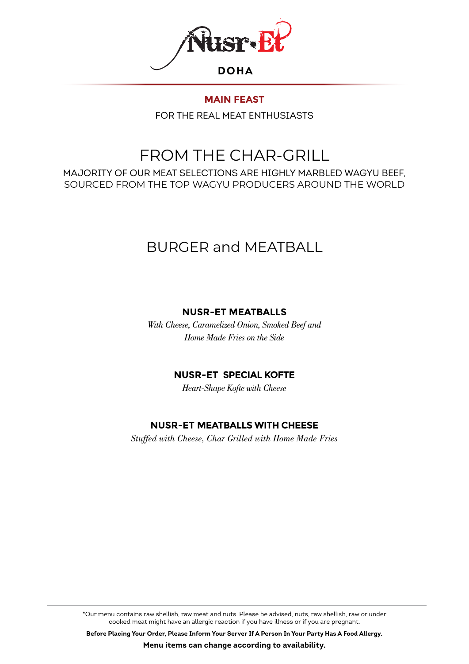

FOR THE REAL MEAT ENTHUSIASTS

# FROM THE CHAR-GRILL

MAJORITY OF OUR MEAT SELECTIONS ARE HIGHLY MARBLED WAGYU BEEF, SOURCED FROM THE TOP WAGYU PRODUCERS AROUND THE WORLD

# BURGER and MEATBALL

# **NUSR-ET MEATBALLS**

*With Cheese, Caramelized Onion, Smoked Beef and Home Made Fries on the Side*

### **NUSR-ET SPECIAL KOFTE**

*Heart-Shape Kofte with Cheese* 

# **NUSR-ET MEATBALLS WITH CHEESE**

*Stuffed with Cheese, Char Grilled with Home Made Fries*

\*Our menu contains raw shellish, raw meat and nuts. Please be advised, nuts, raw shellish, raw or under cooked meat might have an allergic reaction if you have illness or if you are pregnant.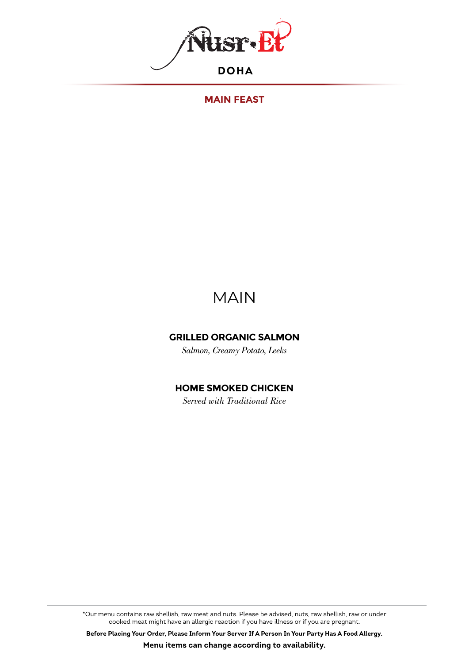

**MAIN FEAST**

# MAIN

#### **GRILLED ORGANIC SALMON**

*Salmon, Creamy Potato, Leeks*

### **HOME SMOKED CHICKEN**

*Served with Traditional Rice*

\*Our menu contains raw shellish, raw meat and nuts. Please be advised, nuts, raw shellish, raw or under cooked meat might have an allergic reaction if you have illness or if you are pregnant.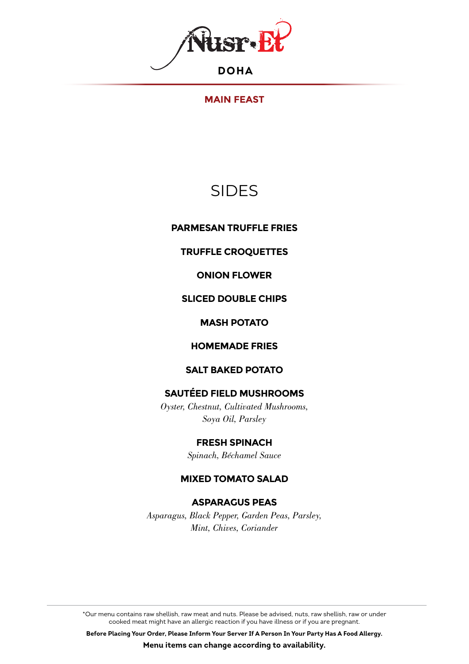

#### **MAIN FEAST**

# SIDES

**PARMESAN TRUFFLE FRIES**

#### **TRUFFLE CROQUETTES**

**ONION FLOWER**

#### **SLICED DOUBLE CHIPS**

#### **MASH POTATO**

#### **HOMEMADE FRIES**

#### **SALT BAKED POTATO**

## **SAUTÉED FIELD MUSHROOMS**

*Oyster, Chestnut, Cultivated Mushrooms, Soya Oil, Parsley*

#### **FRESH SPINACH**

*Spinach, Béchamel Sauce*

#### **MIXED TOMATO SALAD**

### **ASPARAGUS PEAS**

*Asparagus, Black Pepper, Garden Peas, Parsley, Mint, Chives, Coriander*

\*Our menu contains raw shellish, raw meat and nuts. Please be advised, nuts, raw shellish, raw or under cooked meat might have an allergic reaction if you have illness or if you are pregnant.